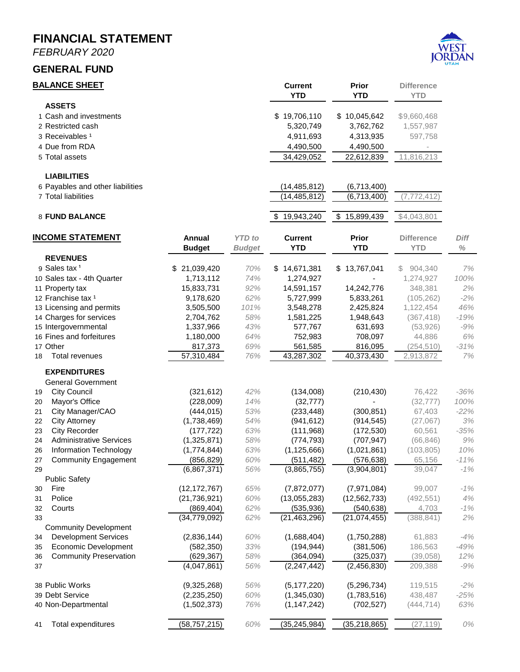# **MONTHLY FINANCIAL STATEMENT FOR THE FISCAL YEAR 2019-2020 FEBRUARY 29, 2020**



**Prepared by Danyce Steck, CPFO – Finance Director**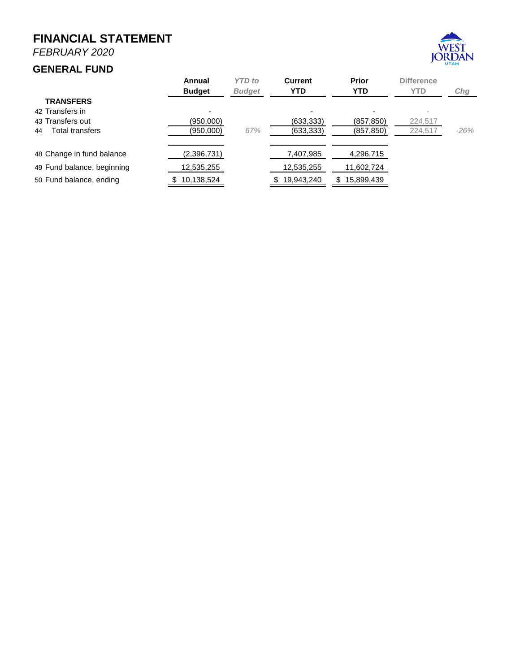*FEBRUARY 2020*

#### **GENERAL FUND**



| <b>BALANCE SHEET</b>                 |                              |               | <b>Current</b>             | <b>Prior</b>                 | <b>Difference</b>   |               |
|--------------------------------------|------------------------------|---------------|----------------------------|------------------------------|---------------------|---------------|
| <b>ASSETS</b>                        |                              |               | <b>YTD</b>                 | <b>YTD</b>                   | <b>YTD</b>          |               |
| 1 Cash and investments               |                              |               | \$19,706,110               | \$10,045,642                 | \$9,660,468         |               |
| 2 Restricted cash                    |                              |               | 5,320,749                  | 3,762,762                    | 1,557,987           |               |
| 3 Receivables <sup>1</sup>           |                              |               | 4,911,693                  | 4,313,935                    | 597,758             |               |
| 4 Due from RDA                       |                              |               | 4,490,500                  | 4,490,500                    |                     |               |
| 5 Total assets                       |                              |               | 34,429,052                 | 22,612,839                   | 11,816,213          |               |
|                                      |                              |               |                            |                              |                     |               |
| <b>LIABILITIES</b>                   |                              |               |                            |                              |                     |               |
| 6 Payables and other liabilities     |                              |               | (14, 485, 812)             | (6,713,400)                  |                     |               |
| 7 Total liabilities                  |                              |               | (14, 485, 812)             | (6,713,400)                  | (7, 772, 412)       |               |
| 8 FUND BALANCE                       |                              |               | 19,943,240<br>S.           | 15,899,439<br>\$             | \$4,043,801         |               |
| <u>INCOME STATEMENT</u>              | Annual                       | <b>YTD</b> to | <b>Current</b>             | <b>Prior</b>                 | <b>Difference</b>   | Diff          |
|                                      | <b>Budget</b>                | <b>Budget</b> | <b>YTD</b>                 | <b>YTD</b>                   | <b>YTD</b>          | $\%$          |
| <b>REVENUES</b>                      |                              |               |                            |                              |                     |               |
| 9 Sales tax <sup>1</sup>             | \$21,039,420                 | 70%           | \$14,671,381               | 13,767,041<br>\$             | 904,340<br>S.       | 7%            |
| 10 Sales tax - 4th Quarter           | 1,713,112                    | 74%           | 1,274,927                  |                              | 1,274,927           | 100%          |
| 11 Property tax                      | 15,833,731                   | 92%           | 14,591,157                 | 14,242,776                   | 348,381             | 2%            |
| 12 Franchise tax 1                   | 9,178,620                    | 62%           | 5,727,999                  | 5,833,261                    | (105, 262)          | $-2%$         |
| 13 Licensing and permits             | 3,505,500                    | 101%          | 3,548,278                  | 2,425,824                    | 1,122,454           | 46%           |
| 14 Charges for services              | 2,704,762                    | 58%           | 1,581,225                  | 1,948,643                    | (367, 418)          | $-19%$        |
| 15 Intergovernmental                 | 1,337,966                    | 43%           | 577,767                    | 631,693                      | (53,926)            | $-9%$         |
| 16 Fines and forfeitures             | 1,180,000                    | 64%           | 752,983                    | 708,097                      | 44,886              | $6\%$         |
| 17 Other                             | 817,373                      | 69%           | 561,585                    | 816,095                      | (254, 510)          | $-31%$        |
| <b>Total revenues</b><br>18          | 57,310,484                   | 76%           | 43,287,302                 | 40,373,430                   | 2,913,872           | 7%            |
| <b>EXPENDITURES</b>                  |                              |               |                            |                              |                     |               |
| <b>General Government</b>            |                              |               |                            |                              |                     |               |
| <b>City Council</b><br>19            | (321, 612)                   | 42%           | (134,008)                  | (210, 430)                   | 76,422              | $-36%$        |
| Mayor's Office<br>20                 | (228,009)                    | 14%           | (32, 777)                  |                              | (32, 777)           | 100%          |
| City Manager/CAO<br>21               | (444, 015)                   | 53%           | (233, 448)                 | (300, 851)                   | 67,403              | $-22%$        |
| <b>City Attorney</b><br>22           | (1,738,469)                  | 54%           | (941, 612)                 | (914, 545)                   | (27,067)            | $3%$          |
| <b>City Recorder</b><br>23           | (177, 722)                   | 63%           | (111,968)                  | (172, 530)                   | 60,561              | $-35%$        |
| <b>Administrative Services</b><br>24 | (1,325,871)                  | 58%           | (774, 793)                 | (707, 947)                   | (66, 846)           | 9%            |
| Information Technology<br>26         | (1,774,844)                  | 63%           | (1, 125, 666)              | (1,021,861)                  | (103, 805)          | 10%           |
| 27<br>Community Engagement           | (856.829)                    | 60%           | (511.482)                  | (576.638)                    | 65.156              | $-11%$        |
| 29                                   | (6,867,371)                  | 56%           | (3,865,755)                | (3,904,801)                  | 39,047              | $-1%$         |
| <b>Public Safety</b>                 |                              |               |                            |                              |                     |               |
| Fire<br>30                           | (12, 172, 767)               | 65%           | (7,872,077)                | (7,971,084)                  | 99,007              | $-1%$         |
| Police<br>31                         | (21, 736, 921)<br>(869, 404) | 60%<br>62%    | (13,055,283)<br>(535, 936) | (12, 562, 733)<br>(540, 638) | (492, 551)<br>4,703 | $4%$<br>$-1%$ |
| Courts<br>32<br>33                   | (34, 779, 092)               | 62%           | (21, 463, 296)             | (21,074,455)                 | (388, 841)          | 2%            |
| <b>Community Development</b>         |                              |               |                            |                              |                     |               |
| <b>Development Services</b><br>34    | (2,836,144)                  | 60%           | (1,688,404)                | (1,750,288)                  | 61,883              | $-4%$         |
| <b>Economic Development</b><br>35    | (582, 350)                   | 33%           | (194, 944)                 | (381, 506)                   | 186,563             | $-49%$        |
| <b>Community Preservation</b><br>36  | (629, 367)                   | 58%           | (364, 094)                 | (325, 037)                   | (39,058)            | 12%           |
| 37                                   | (4,047,861)                  | 56%           | (2, 247, 442)              | (2,456,830)                  | 209,388             | $-9%$         |
|                                      |                              |               |                            |                              |                     |               |
| 38 Public Works                      | (9,325,268)                  | 56%           | (5, 177, 220)              | (5, 296, 734)                | 119,515             | $-2%$         |
| 39 Debt Service                      | (2, 235, 250)                | 60%           | (1,345,030)                | (1,783,516)                  | 438,487             | $-25%$        |
| 40 Non-Departmental                  | (1,502,373)                  | 76%           | (1, 147, 242)              | (702, 527)                   | (444, 714)          | 63%           |
| Total expenditures<br>41             | (58, 757, 215)               | 60%           | (35, 245, 984)             | (35, 218, 865)               | (27, 119)           | 0%            |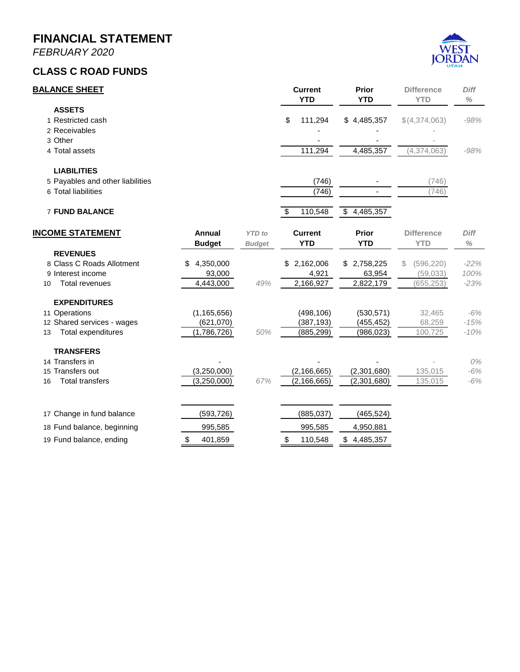*FEBRUARY 2020*

#### **GENERAL FUND**



|                            | Annual<br><b>Budget</b> | <b>YTD</b> to<br><b>Budget</b> | <b>Current</b><br><b>YTD</b> | <b>Prior</b><br><b>YTD</b> | <b>Difference</b><br><b>YTD</b> | Chg    |
|----------------------------|-------------------------|--------------------------------|------------------------------|----------------------------|---------------------------------|--------|
| <b>TRANSFERS</b>           |                         |                                |                              |                            |                                 |        |
| 42 Transfers in            |                         |                                |                              |                            | $\overline{\phantom{a}}$        |        |
| 43 Transfers out           | (950,000)               |                                | (633,333)                    | (857, 850)                 | 224,517                         |        |
| Total transfers<br>44      | (950,000)               | 67%                            | (633, 333)                   | (857, 850)                 | 224,517                         | $-26%$ |
|                            |                         |                                |                              |                            |                                 |        |
| 48 Change in fund balance  | (2,396,731)             |                                | 7,407,985                    | 4,296,715                  |                                 |        |
| 49 Fund balance, beginning | 12,535,255              |                                | 12,535,255                   | 11,602,724                 |                                 |        |
| 50 Fund balance, ending    | 10,138,524              |                                | 19,943,240                   | 15,899,439<br>\$.          |                                 |        |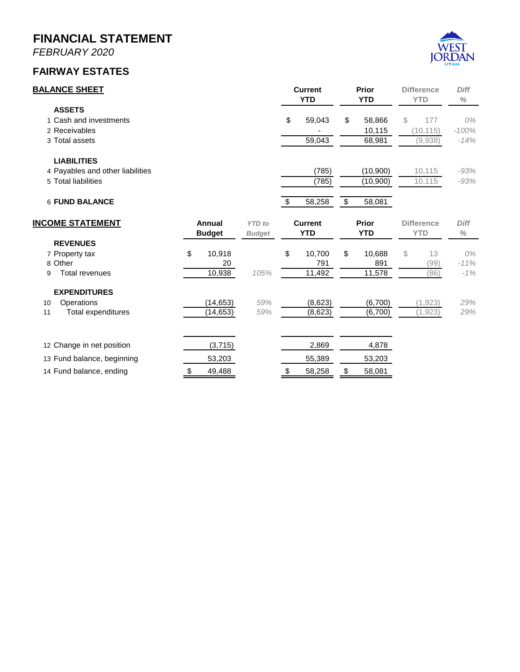*FEBRUARY 2020*

## **CLASS C ROAD FUNDS**



| <b>BALANCE SHEET</b>             |                 |               | <b>Current</b><br><b>YTD</b> |                | <b>Prior</b><br><b>YTD</b> | <b>Difference</b><br><b>YTD</b> | Diff<br>$\%$ |  |
|----------------------------------|-----------------|---------------|------------------------------|----------------|----------------------------|---------------------------------|--------------|--|
| <b>ASSETS</b>                    |                 |               |                              |                |                            |                                 |              |  |
| 1 Restricted cash                |                 |               | \$                           | 111,294        | \$4,485,357                | \$(4,374,063)                   | $-98%$       |  |
| 2 Receivables                    |                 |               |                              |                |                            |                                 |              |  |
| 3 Other                          |                 |               |                              |                |                            |                                 |              |  |
| 4 Total assets                   |                 |               |                              | 111,294        | 4,485,357                  | (4, 374, 063)                   | $-98%$       |  |
| <b>LIABILITIES</b>               |                 |               |                              |                |                            |                                 |              |  |
| 5 Payables and other liabilities |                 |               |                              | (746)          |                            | (746)                           |              |  |
| 6 Total liabilities              |                 |               |                              | (746)          |                            | (746)                           |              |  |
| <b>7 FUND BALANCE</b>            |                 |               | \$                           | 110,548        | 4,485,357<br>\$            |                                 |              |  |
| <b>INCOME STATEMENT</b>          | Annual          | <b>YTD</b> to |                              | <b>Current</b> | <b>Prior</b>               | <b>Difference</b>               | Diff         |  |
|                                  | <b>Budget</b>   | <b>Budget</b> |                              | <b>YTD</b>     | <b>YTD</b>                 | <b>YTD</b>                      | $\%$         |  |
| <b>REVENUES</b>                  |                 |               |                              |                |                            |                                 |              |  |
| 8 Class C Roads Allotment        | 4,350,000<br>\$ |               | \$                           | 2,162,006      | 2,758,225<br>\$            | (596, 220)<br>S                 | $-22%$       |  |
| 9 Interest income                | 93,000          |               |                              | 4,921          | 63,954                     | (59,033)                        | 100%         |  |
| <b>Total revenues</b><br>10      | 4,443,000       | 49%           |                              | 2,166,927      | 2,822,179                  | (655, 253)                      | $-23%$       |  |
| <b>EXPENDITURES</b>              |                 |               |                              |                |                            |                                 |              |  |
| 11 Operations                    | (1, 165, 656)   |               |                              | (498, 106)     | (530, 571)                 | 32,465                          | -6%          |  |
| 12 Shared services - wages       | (621,070)       |               |                              | (387, 193)     | (455, 452)                 | 68,259                          | $-15%$       |  |
| <b>Total expenditures</b><br>13  | (1,786,726)     | 50%           |                              | (885, 299)     | (986, 023)                 | 100,725                         | $-10%$       |  |
| <b>TRANSFERS</b>                 |                 |               |                              |                |                            |                                 |              |  |
| 14 Transfers in                  |                 |               |                              |                |                            |                                 | 0%           |  |
| 15 Transfers out                 | (3,250,000)     |               |                              | (2, 166, 665)  | (2,301,680)                | 135,015                         | -6%          |  |
| <b>Total transfers</b><br>16     | (3,250,000)     | 67%           |                              | (2, 166, 665)  | (2,301,680)                | 135,015                         | $-6%$        |  |
| 17 Change in fund balance        | (593, 726)      |               |                              | (885, 037)     | (465, 524)                 |                                 |              |  |
| 18 Fund balance, beginning       | 995,585         |               |                              | 995,585        | 4,950,881                  |                                 |              |  |
| 19 Fund balance, ending          | \$<br>401,859   |               | \$                           | 110,548        | \$4,485,357                |                                 |              |  |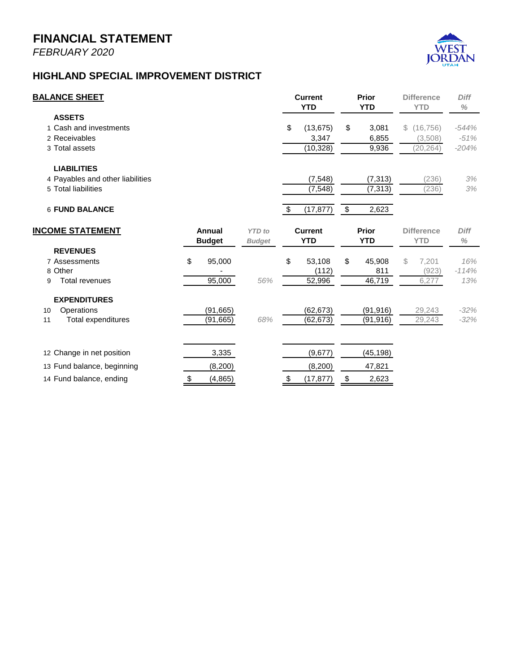*FEBRUARY 2020*

### **FAIRWAY ESTATES**



| <b>BALANCE SHEET</b>             |    |               |               | <b>Current</b><br><b>YTD</b> |                | <b>Prior</b><br><b>YTD</b> |              | <b>Difference</b><br><b>YTD</b> |                   | <b>Diff</b><br>$\%$ |
|----------------------------------|----|---------------|---------------|------------------------------|----------------|----------------------------|--------------|---------------------------------|-------------------|---------------------|
| <b>ASSETS</b>                    |    |               |               |                              |                |                            |              |                                 |                   |                     |
| 1 Cash and investments           |    |               |               | \$                           | 59,043         | \$                         | 58,866       | \$                              | 177               | 0%                  |
| 2 Receivables                    |    |               |               |                              |                |                            | 10,115       |                                 | (10, 115)         | $-100%$             |
| 3 Total assets                   |    |               |               |                              | 59,043         |                            | 68,981       |                                 | (9,938)           | $-14%$              |
| <b>LIABILITIES</b>               |    |               |               |                              |                |                            |              |                                 |                   |                     |
| 4 Payables and other liabilities |    |               |               |                              | (785)          |                            | (10,900)     |                                 | 10,115            | $-93%$              |
| 5 Total liabilities              |    |               |               |                              | (785)          |                            | (10,900)     |                                 | 10,115            | $-93%$              |
| <b>6 FUND BALANCE</b>            |    |               |               | \$                           | 58,258         | $\overline{\mathbf{e}}$    | 58,081       |                                 |                   |                     |
| <b>INCOME STATEMENT</b>          |    | Annual        | <b>YTD</b> to |                              | <b>Current</b> |                            | <b>Prior</b> |                                 | <b>Difference</b> | <b>Diff</b>         |
|                                  |    | <b>Budget</b> | <b>Budget</b> |                              | <b>YTD</b>     |                            | <b>YTD</b>   |                                 | <b>YTD</b>        | $\%$                |
| <b>REVENUES</b>                  |    |               |               |                              |                |                            |              |                                 |                   |                     |
| 7 Property tax                   | \$ | 10,918        |               | \$                           | 10,700         | \$                         | 10,688       | \$                              | 13                | 0%                  |
| 8 Other                          |    | 20            |               |                              | 791            |                            | 891          |                                 | (99)              | $-11%$              |
| Total revenues<br>9              |    | 10,938        | 105%          |                              | 11,492         |                            | 11,578       |                                 | (86)              | $-1%$               |
| <b>EXPENDITURES</b>              |    |               |               |                              |                |                            |              |                                 |                   |                     |
| Operations<br>10                 |    | (14, 653)     | 59%           |                              | (8,623)        |                            | (6,700)      |                                 | (1,923)           | 29%                 |
| Total expenditures<br>11         |    | (14, 653)     | 59%           |                              | (8,623)        |                            | (6,700)      |                                 | (1, 923)          | 29%                 |
| 12 Change in net position        |    | (3,715)       |               |                              | 2,869          |                            | 4,878        |                                 |                   |                     |
|                                  |    |               |               |                              |                |                            |              |                                 |                   |                     |
| 13 Fund balance, beginning       |    | 53,203        |               |                              | 55,389         |                            | 53,203       |                                 |                   |                     |
| 14 Fund balance, ending          | \$ | 49,488        |               | \$                           | 58,258         | \$                         | 58,081       |                                 |                   |                     |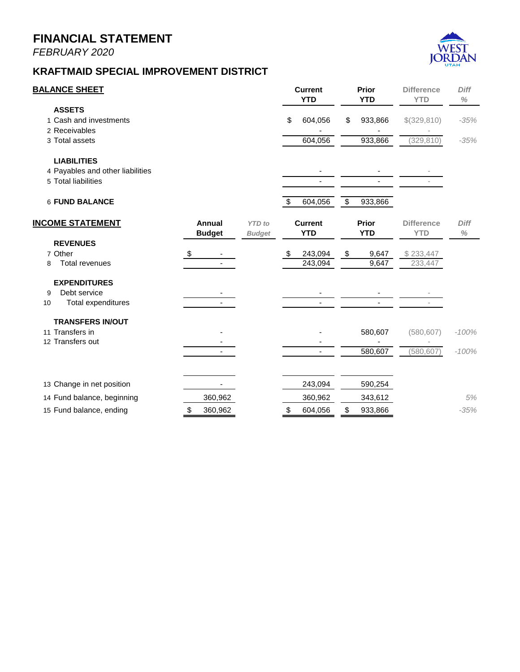*FEBRUARY 2020*



### **HIGHLAND SPECIAL IMPROVEMENT DISTRICT**

| <b>BALANCE SHEET</b>                                                          |                         |                                |      | <b>Current</b><br><b>YTD</b>              | Prior<br><b>YTD</b>                       | <b>Difference</b><br><b>YTD</b>                   | <b>Diff</b><br>$\%$          |
|-------------------------------------------------------------------------------|-------------------------|--------------------------------|------|-------------------------------------------|-------------------------------------------|---------------------------------------------------|------------------------------|
| <b>ASSETS</b><br>1 Cash and investments<br>2 Receivables<br>3 Total assets    |                         |                                | \$   | (13, 675)<br>3,347<br>(10,328)            | \$<br>3,081<br>6,855<br>9,936             | (16, 756)<br>$\mathbb{S}$<br>(3,508)<br>(20, 264) | $-544%$<br>$-51%$<br>$-204%$ |
| <b>LIABILITIES</b><br>4 Payables and other liabilities<br>5 Total liabilities |                         |                                |      | (7, 548)<br>(7, 548)                      | (7, 313)<br>(7, 313)                      | (236)<br>(236)                                    | 3%<br>3%                     |
| <b>6 FUND BALANCE</b><br><b>INCOME STATEMENT</b>                              | Annual<br><b>Budget</b> | <b>YTD</b> to<br><b>Budget</b> | \$   | (17, 877)<br><b>Current</b><br><b>YTD</b> | \$<br>2,623<br><b>Prior</b><br><b>YTD</b> | <b>Difference</b><br><b>YTD</b>                   | <b>Diff</b><br>$\%$          |
| <b>REVENUES</b><br>7 Assessments<br>8 Other<br><b>Total revenues</b><br>9     | \$<br>95,000<br>95,000  | 56%                            | \$   | 53,108<br>(112)<br>52,996                 | \$<br>45,908<br>811<br>46,719             | $\mathcal{Z}$<br>7,201<br>(923)<br>6,277          | 16%<br>$-114%$<br>13%        |
| <b>EXPENDITURES</b><br>Operations<br>10<br><b>Total expenditures</b><br>11    | (91, 665)<br>(91, 665)  | 68%                            |      | (62, 673)<br>(62, 673)                    | (91, 916)<br>(91, 916)                    | 29,243<br>29,243                                  | $-32%$<br>$-32%$             |
| 12 Change in net position<br>13 Fund balance, beginning                       | 3,335<br>(8,200)        |                                |      | (9,677)<br>(8,200)                        | (45, 198)<br>47,821                       |                                                   |                              |
| 14 Fund balance, ending                                                       | \$<br>(4, 865)          |                                | - \$ | (17, 877)                                 | \$<br>2,623                               |                                                   |                              |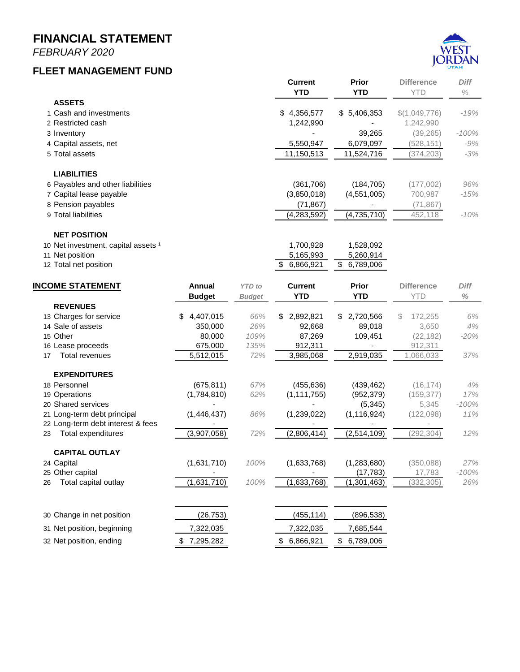*FEBRUARY 2020*

#### **STREETLIGHT FUND**



|                                  |                  |               | <b>Current</b><br><b>YTD</b> | <b>Prior</b><br><b>YTD</b> | <b>Difference</b><br><b>YTD</b> | <b>Diff</b><br>$\%$ |
|----------------------------------|------------------|---------------|------------------------------|----------------------------|---------------------------------|---------------------|
| <b>ASSETS</b>                    |                  |               |                              |                            |                                 |                     |
| 1 Cash and investments           |                  |               | 1,198,968<br>\$              | \$<br>824,992              | \$373,976                       | 45%                 |
| 2 Receivables                    |                  |               | 59,235                       | 55,539                     | 3,695                           | 7%                  |
| 3 Total assets                   |                  |               | 1,258,203                    | 880,531                    | 377,671                         | 43%                 |
| <b>LIABILITIES</b>               |                  |               |                              |                            |                                 |                     |
| 4 Payables and other liabilities |                  |               | (251)                        | (324)                      | 73                              | $-23%$              |
| 5 Total liabilities              |                  |               | (251)                        | (324)                      | 73                              | $-23%$              |
| <b>6 NET POSITION</b>            |                  |               | 1,257,952<br>\$              | \$<br>880,208              |                                 |                     |
| <b>INCOME STATEMENT</b>          | Annual           | <b>YTD</b> to | <b>Current</b>               | <b>Prior</b>               | <b>Difference</b>               | <b>Diff</b>         |
|                                  | <b>Budget</b>    | <b>Budget</b> | <b>YTD</b>                   | <b>YTD</b>                 | <b>YTD</b>                      | $\%$                |
| <b>REVENUES</b>                  |                  |               |                              |                            |                                 |                     |
| 7 Streetlight fees<br>8 Other    | \$<br>749,870    | 65%           | \$<br>489,059                | \$<br>466,605              | 22,454<br>S                     | 5%                  |
| Total revenues<br>9              | 5,800<br>755,670 | 67%           | 15,859<br>504,918            | 11,207<br>477,812          | 4,652<br>27,106                 | 42%<br>6%           |
|                                  |                  |               |                              |                            |                                 |                     |
| <b>EXPENDITURES</b>              |                  |               |                              |                            |                                 |                     |
| Operations<br>10                 | (437, 224)       | 65%           | (284, 133)                   | (183,458)                  | (100, 675)                      | 55%                 |
| Total expenditures<br>11         | (437,224)        | 65%           | (284, 133)                   | (183,458)                  | (100, 675)                      | 55%                 |
| 12 Change in net position        | 318,446          |               | 220,785                      | 294,354                    |                                 |                     |
| 13 Net position, beginning       |                  |               | 1,037,167                    | 585,854                    |                                 |                     |
|                                  | 1,037,167        |               |                              |                            |                                 |                     |
| 14 Net position, ending          | 1,355,613        |               | 1,257,952<br>\$              | \$<br>880,208              |                                 |                     |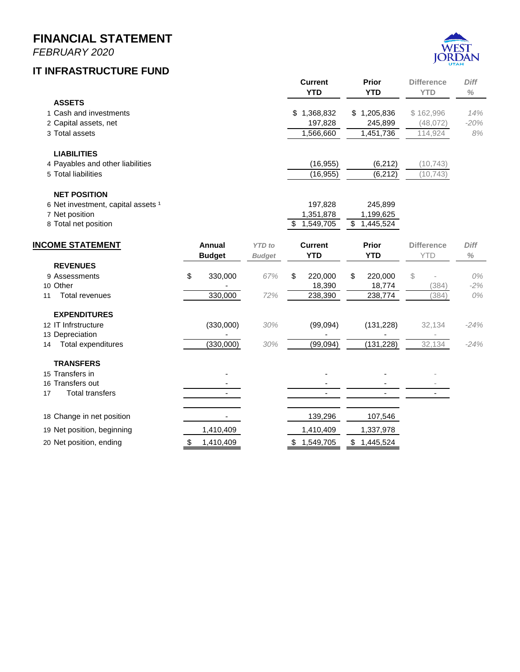*FEBRUARY 2020*

#### **FLEET MANAGEMENT FUND**



|                                     |               |               | <b>Current</b><br><b>YTD</b> | <b>Prior</b><br><b>YTD</b> | <b>Difference</b><br><b>YTD</b> | <b>Diff</b><br>$\%$ |
|-------------------------------------|---------------|---------------|------------------------------|----------------------------|---------------------------------|---------------------|
| <b>ASSETS</b>                       |               |               |                              |                            |                                 |                     |
| 1 Cash and investments              |               |               | \$4,356,577                  | \$5,406,353                | \$(1,049,776)                   | -19%                |
| 2 Restricted cash                   |               |               | 1,242,990                    |                            | 1,242,990                       |                     |
| 3 Inventory                         |               |               |                              | 39,265                     | (39, 265)                       | $-100%$             |
| 4 Capital assets, net               |               |               | 5,550,947                    | 6,079,097                  | (528, 151)                      | $-9%$               |
| 5 Total assets                      |               |               | 11,150,513                   | 11,524,716                 | (374,203)                       | $-3%$               |
| <b>LIABILITIES</b>                  |               |               |                              |                            |                                 |                     |
| 6 Payables and other liabilities    |               |               | (361,706)                    | (184, 705)                 | (177,002)                       | 96%                 |
| 7 Capital lease payable             |               |               | (3,850,018)                  | (4,551,005)                | 700,987                         | -15%                |
| 8 Pension payables                  |               |               | (71, 867)                    |                            | (71, 867)                       |                     |
| 9 Total liabilities                 |               |               | (4,283,592)                  | (4,735,710)                | 452,118                         | $-10\%$             |
| <b>NET POSITION</b>                 |               |               |                              |                            |                                 |                     |
| 10 Net investment, capital assets 1 |               |               | 1,700,928                    | 1,528,092                  |                                 |                     |
| 11 Net position                     |               |               | 5,165,993                    | 5,260,914                  |                                 |                     |
| 12 Total net position               |               |               | \$<br>6,866,921              | \$<br>6,789,006            |                                 |                     |
| <b>INCOME STATEMENT</b>             | Annual        | <b>YTD</b> to | <b>Current</b>               | Prior                      | <b>Difference</b>               | <b>Diff</b>         |
|                                     | <b>Budget</b> | <b>Budget</b> | <b>YTD</b>                   | <b>YTD</b>                 | <b>YTD</b>                      | $\%$                |
| <b>REVENUES</b>                     |               |               |                              |                            |                                 |                     |

|                                   | puuyet          | puuyet | 1 I D           | 1 I D           | ∣ ∣ ∟∕        | 70      |
|-----------------------------------|-----------------|--------|-----------------|-----------------|---------------|---------|
| <b>REVENUES</b>                   |                 |        |                 |                 |               |         |
| 13 Charges for service            | 4,407,015<br>\$ | 66%    | 2,892,821<br>\$ | 2,720,566<br>\$ | 172,255<br>S. | 6%      |
| 14 Sale of assets                 | 350,000         | 26%    | 92,668          | 89,018          | 3,650         | 4%      |
| 15 Other                          | 80,000          | 109%   | 87,269          | 109,451         | (22, 182)     | $-20%$  |
| 16 Lease proceeds                 | 675,000         | 135%   | 912,311         |                 | 912,311       |         |
| <b>Total revenues</b><br>17       | 5,512,015       | 72%    | 3,985,068       | 2,919,035       | 1,066,033     | 37%     |
| <b>EXPENDITURES</b>               |                 |        |                 |                 |               |         |
| 18 Personnel                      | (675, 811)      | 67%    | (455, 636)      | (439, 462)      | (16, 174)     | 4%      |
| 19 Operations                     | (1,784,810)     | 62%    | (1, 111, 755)   | (952, 379)      | (159, 377)    | 17%     |
| 20 Shared services                |                 |        |                 | (5, 345)        | 5,345         | $-100%$ |
| 21 Long-term debt principal       | (1, 446, 437)   | 86%    | (1,239,022)     | (1, 116, 924)   | (122, 098)    | 11%     |
| 22 Long-term debt interest & fees |                 |        |                 |                 |               |         |
| Total expenditures<br>23          | (3,907,058)     | 72%    | (2,806,414)     | (2,514,109)     | (292, 304)    | 12%     |
| <b>CAPITAL OUTLAY</b>             |                 |        |                 |                 |               |         |
| 24 Capital                        | (1,631,710)     | 100%   | (1,633,768)     | (1, 283, 680)   | (350, 088)    | 27%     |
| 25 Other capital                  |                 |        |                 | (17,783)        | 17,783        | $-100%$ |
| Total capital outlay<br>26        | (1,631,710)     | 100%   | (1,633,768)     | (1,301,463)     | (332, 305)    | 26%     |
|                                   |                 |        |                 |                 |               |         |
| 30 Change in net position         | (26, 753)       |        | (455, 114)      | (896, 538)      |               |         |
| 31 Net position, beginning        | 7,322,035       |        | 7,322,035       | 7,685,544       |               |         |
| 32 Net position, ending           | 7,295,282       |        | 6,866,921<br>\$ | 6,789,006<br>\$ |               |         |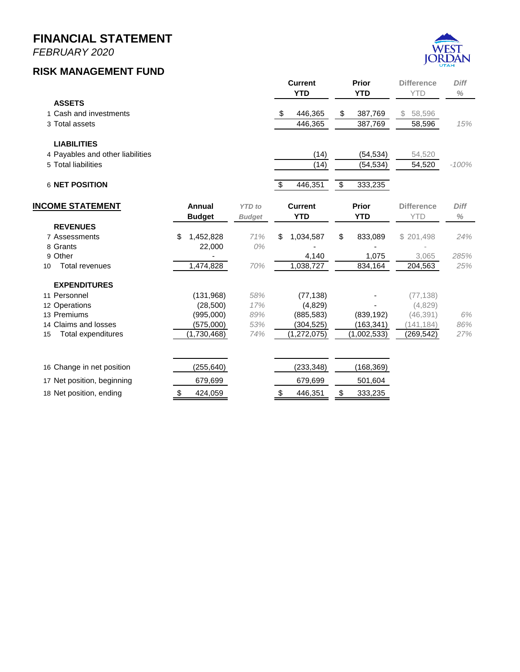*FEBRUARY 2020*

#### **IT INFRASTRUCTURE FUND**



|    |                                    |               |               | <b>Current</b> |              | Prior       | <b>Difference</b> | Diff   |
|----|------------------------------------|---------------|---------------|----------------|--------------|-------------|-------------------|--------|
|    |                                    |               |               | <b>YTD</b>     |              | <b>YTD</b>  | <b>YTD</b>        | $\%$   |
|    | <b>ASSETS</b>                      |               |               |                |              |             |                   |        |
|    | 1 Cash and investments             |               |               | \$1,368,832    |              | \$1,205,836 | \$162,996         | 14%    |
|    | 2 Capital assets, net              |               |               | 197,828        |              | 245,899     | (48,072)          | $-20%$ |
|    | 3 Total assets                     |               |               | 1,566,660      |              | 1,451,736   | 114,924           | 8%     |
|    | <b>LIABILITIES</b>                 |               |               |                |              |             |                   |        |
|    | 4 Payables and other liabilities   |               |               | (16, 955)      |              | (6, 212)    | (10, 743)         |        |
|    | 5 Total liabilities                |               |               | (16, 955)      |              | (6, 212)    | (10, 743)         |        |
|    | <b>NET POSITION</b>                |               |               |                |              |             |                   |        |
|    | 6 Net investment, capital assets 1 |               |               | 197,828        |              | 245,899     |                   |        |
|    | 7 Net position                     |               |               | 1,351,878      |              | 1,199,625   |                   |        |
|    | 8 Total net position               |               |               | \$1,549,705    | $\mathbb{S}$ | 1,445,524   |                   |        |
|    | <b>INCOME STATEMENT</b>            | <b>Annual</b> | <b>YTD</b> to | <b>Current</b> |              | Prior       | <b>Difference</b> | Diff   |
|    |                                    | <b>Budget</b> | <b>Budget</b> | <b>YTD</b>     |              | <b>YTD</b>  | <b>YTD</b>        | $\%$   |
|    | <b>REVENUES</b>                    |               |               |                |              |             |                   |        |
|    | 9 Assessments                      | \$<br>330,000 | 67%           | \$<br>220,000  | \$           | 220,000     | \$                | 0%     |
|    | 10 Other                           |               |               | 18,390         |              | 18,774      | (384)             | $-2%$  |
| 11 | <b>Total revenues</b>              | 330,000       | 72%           | 238,390        |              | 238,774     | (384)             | 0%     |
|    | <b>EXPENDITURES</b>                |               |               |                |              |             |                   |        |
|    | 12 IT Infrstructure                | (330,000)     | 30%           | (99,094)       |              | (131, 228)  | 32,134            | $-24%$ |
|    | 13 Depreciation                    |               |               |                |              |             |                   |        |
| 14 | <b>Total expenditures</b>          | (330,000)     | 30%           | (99,094)       |              | (131, 228)  | 32,134            | $-24%$ |
|    | <b>TRANSFERS</b>                   |               |               |                |              |             |                   |        |
|    | 15 Transfers in                    |               |               |                |              |             |                   |        |
|    | 16 Transfers out                   |               |               |                |              |             |                   |        |
| 17 | <b>Total transfers</b>             |               |               |                |              |             |                   |        |
|    | 18 Change in net position          |               |               | 139,296        |              | 107,546     |                   |        |

19 Net position, beginning 1,410,409 1,410,409 1,410,409 1,337,978

20 Net position, ending  $$ 1,410,409$   $$ 1,549,705$  \$ 1,445,524